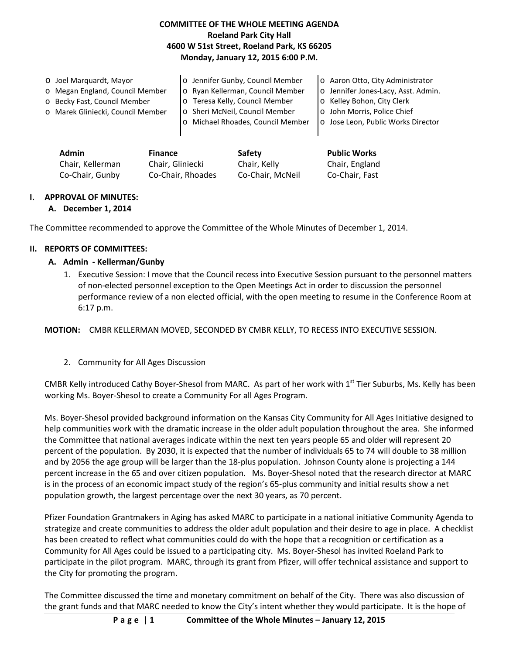# **COMMITTEE OF THE WHOLE MEETING AGENDA Roeland Park City Hall 4600 W 51st Street, Roeland Park, KS 66205 Monday, January 12, 2015 6:00 P.M.**

| O Joel Marquardt, Mayor           | o Jennifer Gunby, Council Member  | o Aaron Otto, City Administrator    |
|-----------------------------------|-----------------------------------|-------------------------------------|
| o Megan England, Council Member   | o Ryan Kellerman, Council Member  | o Jennifer Jones-Lacy, Asst. Admin. |
| o Becky Fast, Council Member      | o Teresa Kelly, Council Member    | o Kelley Bohon, City Clerk          |
| o Marek Gliniecki, Council Member | o Sheri McNeil, Council Member    | o John Morris, Police Chief         |
|                                   | o Michael Rhoades, Council Member | o Jose Leon, Public Works Director  |
|                                   |                                   |                                     |

| <b>Admin</b>     | <b>Finance</b>    | Safety           | <b>Public Works</b> |
|------------------|-------------------|------------------|---------------------|
| Chair, Kellerman | Chair, Gliniecki  | Chair, Kelly     | Chair, England      |
| Co-Chair, Gunby  | Co-Chair, Rhoades | Co-Chair. McNeil | Co-Chair, Fast      |

# **I. APPROVAL OF MINUTES:**

#### **A. December 1, 2014**

The Committee recommended to approve the Committee of the Whole Minutes of December 1, 2014.

#### **II. REPORTS OF COMMITTEES:**

## **A. Admin - Kellerman/Gunby**

1. Executive Session: I move that the Council recess into Executive Session pursuant to the personnel matters of non-elected personnel exception to the Open Meetings Act in order to discussion the personnel performance review of a non elected official, with the open meeting to resume in the Conference Room at 6:17 p.m.

**MOTION:** CMBR KELLERMAN MOVED, SECONDED BY CMBR KELLY, TO RECESS INTO EXECUTIVE SESSION.

2. Community for All Ages Discussion

CMBR Kelly introduced Cathy Boyer-Shesol from MARC. As part of her work with  $1<sup>st</sup>$  Tier Suburbs, Ms. Kelly has been working Ms. Boyer-Shesol to create a Community For all Ages Program.

Ms. Boyer-Shesol provided background information on the Kansas City Community for All Ages Initiative designed to help communities work with the dramatic increase in the older adult population throughout the area. She informed the Committee that national averages indicate within the next ten years people 65 and older will represent 20 percent of the population. By 2030, it is expected that the number of individuals 65 to 74 will double to 38 million and by 2056 the age group will be larger than the 18-plus population. Johnson County alone is projecting a 144 percent increase in the 65 and over citizen population. Ms. Boyer-Shesol noted that the research director at MARC is in the process of an economic impact study of the region's 65-plus community and initial results show a net population growth, the largest percentage over the next 30 years, as 70 percent.

Pfizer Foundation Grantmakers in Aging has asked MARC to participate in a national initiative Community Agenda to strategize and create communities to address the older adult population and their desire to age in place. A checklist has been created to reflect what communities could do with the hope that a recognition or certification as a Community for All Ages could be issued to a participating city. Ms. Boyer-Shesol has invited Roeland Park to participate in the pilot program. MARC, through its grant from Pfizer, will offer technical assistance and support to the City for promoting the program.

The Committee discussed the time and monetary commitment on behalf of the City. There was also discussion of the grant funds and that MARC needed to know the City's intent whether they would participate. It is the hope of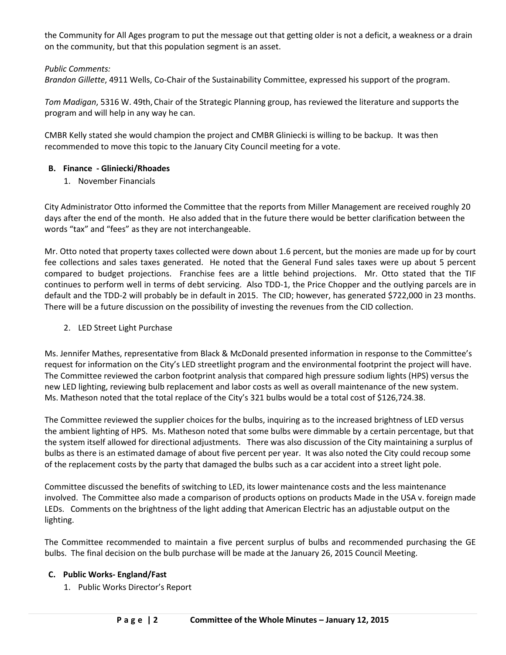the Community for All Ages program to put the message out that getting older is not a deficit, a weakness or a drain on the community, but that this population segment is an asset.

## *Public Comments:*

*Brandon Gillette*, 4911 Wells, Co-Chair of the Sustainability Committee, expressed his support of the program.

*Tom Madigan*, 5316 W. 49th, Chair of the Strategic Planning group, has reviewed the literature and supports the program and will help in any way he can.

CMBR Kelly stated she would champion the project and CMBR Gliniecki is willing to be backup. It was then recommended to move this topic to the January City Council meeting for a vote.

#### **B. Finance - Gliniecki/Rhoades**

1. November Financials

City Administrator Otto informed the Committee that the reports from Miller Management are received roughly 20 days after the end of the month. He also added that in the future there would be better clarification between the words "tax" and "fees" as they are not interchangeable.

Mr. Otto noted that property taxes collected were down about 1.6 percent, but the monies are made up for by court fee collections and sales taxes generated. He noted that the General Fund sales taxes were up about 5 percent compared to budget projections. Franchise fees are a little behind projections. Mr. Otto stated that the TIF continues to perform well in terms of debt servicing. Also TDD-1, the Price Chopper and the outlying parcels are in default and the TDD-2 will probably be in default in 2015. The CID; however, has generated \$722,000 in 23 months. There will be a future discussion on the possibility of investing the revenues from the CID collection.

2. LED Street Light Purchase

Ms. Jennifer Mathes, representative from Black & McDonald presented information in response to the Committee's request for information on the City's LED streetlight program and the environmental footprint the project will have. The Committee reviewed the carbon footprint analysis that compared high pressure sodium lights (HPS) versus the new LED lighting, reviewing bulb replacement and labor costs as well as overall maintenance of the new system. Ms. Matheson noted that the total replace of the City's 321 bulbs would be a total cost of \$126,724.38.

The Committee reviewed the supplier choices for the bulbs, inquiring as to the increased brightness of LED versus the ambient lighting of HPS. Ms. Matheson noted that some bulbs were dimmable by a certain percentage, but that the system itself allowed for directional adjustments. There was also discussion of the City maintaining a surplus of bulbs as there is an estimated damage of about five percent per year. It was also noted the City could recoup some of the replacement costs by the party that damaged the bulbs such as a car accident into a street light pole.

Committee discussed the benefits of switching to LED, its lower maintenance costs and the less maintenance involved. The Committee also made a comparison of products options on products Made in the USA v. foreign made LEDs. Comments on the brightness of the light adding that American Electric has an adjustable output on the lighting.

The Committee recommended to maintain a five percent surplus of bulbs and recommended purchasing the GE bulbs. The final decision on the bulb purchase will be made at the January 26, 2015 Council Meeting.

#### **C. Public Works- England/Fast**

1. Public Works Director's Report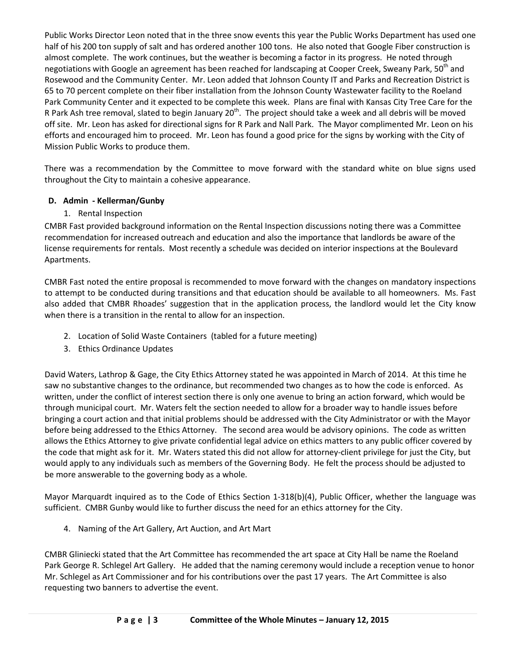Public Works Director Leon noted that in the three snow events this year the Public Works Department has used one half of his 200 ton supply of salt and has ordered another 100 tons. He also noted that Google Fiber construction is almost complete. The work continues, but the weather is becoming a factor in its progress. He noted through negotiations with Google an agreement has been reached for landscaping at Cooper Creek, Sweany Park, 50<sup>th</sup> and Rosewood and the Community Center. Mr. Leon added that Johnson County IT and Parks and Recreation District is 65 to 70 percent complete on their fiber installation from the Johnson County Wastewater facility to the Roeland Park Community Center and it expected to be complete this week. Plans are final with Kansas City Tree Care for the R Park Ash tree removal, slated to begin January 20<sup>th</sup>. The project should take a week and all debris will be moved off site. Mr. Leon has asked for directional signs for R Park and Nall Park. The Mayor complimented Mr. Leon on his efforts and encouraged him to proceed. Mr. Leon has found a good price for the signs by working with the City of Mission Public Works to produce them.

There was a recommendation by the Committee to move forward with the standard white on blue signs used throughout the City to maintain a cohesive appearance.

# **D. Admin - Kellerman/Gunby**

1. Rental Inspection

CMBR Fast provided background information on the Rental Inspection discussions noting there was a Committee recommendation for increased outreach and education and also the importance that landlords be aware of the license requirements for rentals. Most recently a schedule was decided on interior inspections at the Boulevard Apartments.

CMBR Fast noted the entire proposal is recommended to move forward with the changes on mandatory inspections to attempt to be conducted during transitions and that education should be available to all homeowners. Ms. Fast also added that CMBR Rhoades' suggestion that in the application process, the landlord would let the City know when there is a transition in the rental to allow for an inspection.

- 2. Location of Solid Waste Containers (tabled for a future meeting)
- 3. Ethics Ordinance Updates

David Waters, Lathrop & Gage, the City Ethics Attorney stated he was appointed in March of 2014. At this time he saw no substantive changes to the ordinance, but recommended two changes as to how the code is enforced. As written, under the conflict of interest section there is only one avenue to bring an action forward, which would be through municipal court. Mr. Waters felt the section needed to allow for a broader way to handle issues before bringing a court action and that initial problems should be addressed with the City Administrator or with the Mayor before being addressed to the Ethics Attorney. The second area would be advisory opinions. The code as written allows the Ethics Attorney to give private confidential legal advice on ethics matters to any public officer covered by the code that might ask for it. Mr. Waters stated this did not allow for attorney-client privilege for just the City, but would apply to any individuals such as members of the Governing Body. He felt the process should be adjusted to be more answerable to the governing body as a whole.

Mayor Marquardt inquired as to the Code of Ethics Section 1-318(b)(4), Public Officer, whether the language was sufficient. CMBR Gunby would like to further discuss the need for an ethics attorney for the City.

4. Naming of the Art Gallery, Art Auction, and Art Mart

CMBR Gliniecki stated that the Art Committee has recommended the art space at City Hall be name the Roeland Park George R. Schlegel Art Gallery. He added that the naming ceremony would include a reception venue to honor Mr. Schlegel as Art Commissioner and for his contributions over the past 17 years. The Art Committee is also requesting two banners to advertise the event.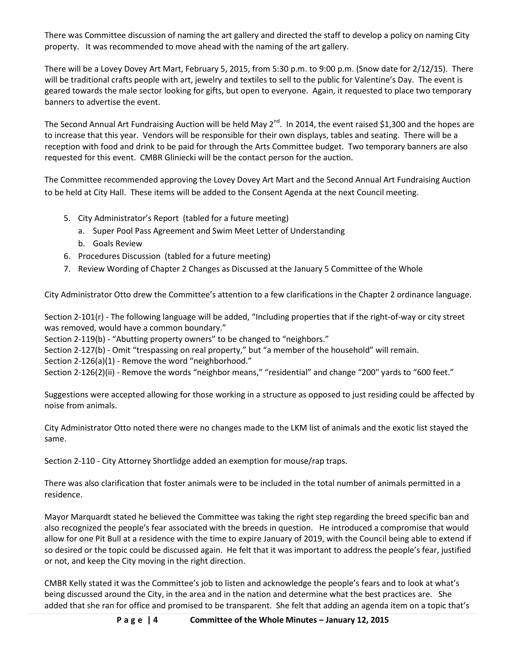There was Committee discussion of naming the art gallery and directed the staff to develop a policy on naming City property. It was recommended to move ahead with the naming of the art gallery.

There will be a Lovey Dovey Art Mart, February 5, 2015, from 5:30 p.m. to 9:00 p.m. (Snow date for 2/12/15). There will be traditional crafts people with art, jewelry and textiles to sell to the public for Valentine's Day. The event is geared towards the male sector looking for gifts, but open to everyone. Again, it requested to place two temporary banners to advertise the event.

The Second Annual Art Fundraising Auction will be held May  $2^{nd}$ . In 2014, the event raised \$1,300 and the hopes are to increase that this year. Vendors will be responsible for their own displays, tables and seating. There will be a reception with food and drink to be paid for through the Arts Committee budget. Two temporary banners are also requested for this event. CMBR Gliniecki will be the contact person for the auction.

The Committee recommended approving the Lovey Dovey Art Mart and the Second Annual Art Fundraising Auction to be held at City Hall. These items will be added to the Consent Agenda at the next Council meeting.

- 5. City Administrator's Report (tabled for a future meeting)
	- a. Super Pool Pass Agreement and Swim Meet Letter of Understanding
	- b. Goals Review
- 6. Procedures Discussion (tabled for a future meeting)
- 7. Review Wording of Chapter 2 Changes as Discussed at the January 5 Committee of the Whole

City Administrator Otto drew the Committee's attention to a few clarifications in the Chapter 2 ordinance language.

Section 2-101(r) - The following language will be added, "Including properties that if the right-of-way or city street was removed, would have a common boundary."

Section 2-119(b) - "Abutting property owners" to be changed to "neighbors."

Section 2-127(b) - Omit "trespassing on real property," but "a member of the household" will remain.

Section 2-126(a)(1) - Remove the word "neighborhood."

Section 2-126(2)(ii) - Remove the words "neighbor means," "residential" and change "200" yards to "600 feet."

Suggestions were accepted allowing for those working in a structure as opposed to just residing could be affected by noise from animals.

City Administrator Otto noted there were no changes made to the LKM list of animals and the exotic list stayed the same.

Section 2-110 - City Attorney Shortlidge added an exemption for mouse/rap traps.

There was also clarification that foster animals were to be included in the total number of animals permitted in a residence.

Mayor Marquardt stated he believed the Committee was taking the right step regarding the breed specific ban and also recognized the people's fear associated with the breeds in question. He introduced a compromise that would allow for one Pit Bull at a residence with the time to expire January of 2019, with the Council being able to extend if so desired or the topic could be discussed again. He felt that it was important to address the people's fear, justified or not, and keep the City moving in the right direction.

CMBR Kelly stated it was the Committee's job to listen and acknowledge the people's fears and to look at what's being discussed around the City, in the area and in the nation and determine what the best practices are. She added that she ran for office and promised to be transparent. She felt that adding an agenda item on a topic that's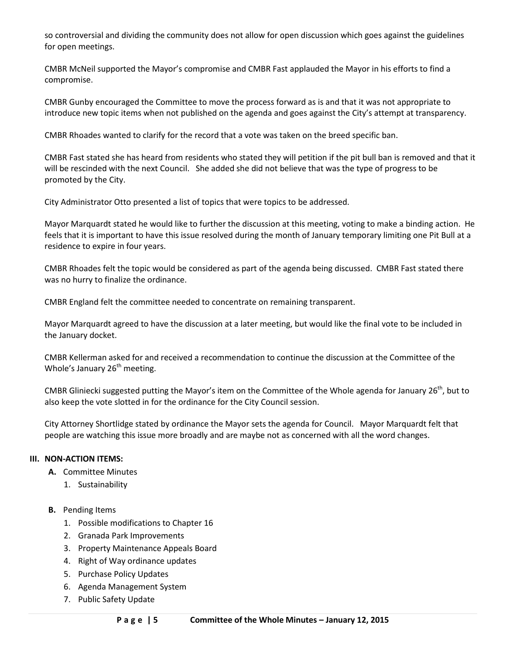so controversial and dividing the community does not allow for open discussion which goes against the guidelines for open meetings.

CMBR McNeil supported the Mayor's compromise and CMBR Fast applauded the Mayor in his efforts to find a compromise.

CMBR Gunby encouraged the Committee to move the process forward as is and that it was not appropriate to introduce new topic items when not published on the agenda and goes against the City's attempt at transparency.

CMBR Rhoades wanted to clarify for the record that a vote was taken on the breed specific ban.

CMBR Fast stated she has heard from residents who stated they will petition if the pit bull ban is removed and that it will be rescinded with the next Council. She added she did not believe that was the type of progress to be promoted by the City.

City Administrator Otto presented a list of topics that were topics to be addressed.

Mayor Marquardt stated he would like to further the discussion at this meeting, voting to make a binding action. He feels that it is important to have this issue resolved during the month of January temporary limiting one Pit Bull at a residence to expire in four years.

CMBR Rhoades felt the topic would be considered as part of the agenda being discussed. CMBR Fast stated there was no hurry to finalize the ordinance.

CMBR England felt the committee needed to concentrate on remaining transparent.

Mayor Marquardt agreed to have the discussion at a later meeting, but would like the final vote to be included in the January docket.

CMBR Kellerman asked for and received a recommendation to continue the discussion at the Committee of the Whole's January  $26<sup>th</sup>$  meeting.

CMBR Gliniecki suggested putting the Mayor's item on the Committee of the Whole agenda for January 26<sup>th</sup>, but to also keep the vote slotted in for the ordinance for the City Council session.

City Attorney Shortlidge stated by ordinance the Mayor sets the agenda for Council. Mayor Marquardt felt that people are watching this issue more broadly and are maybe not as concerned with all the word changes.

#### **III. NON-ACTION ITEMS:**

- **A.** Committee Minutes
	- 1. Sustainability

#### **B.** Pending Items

- 1. Possible modifications to Chapter 16
- 2. Granada Park Improvements
- 3. Property Maintenance Appeals Board
- 4. Right of Way ordinance updates
- 5. Purchase Policy Updates
- 6. Agenda Management System
- 7. Public Safety Update